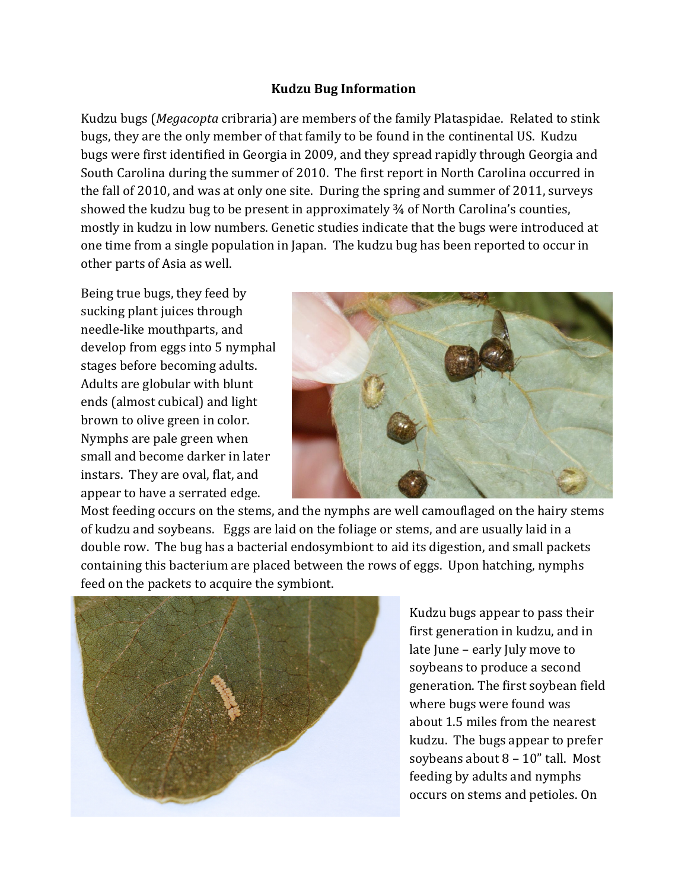## Kudzu Bug Information

Kudzu bugs (Megacopta cribraria) are members of the family Plataspidae. Related to stink bugs, they are the only member of that family to be found in the continental US. Kudzu bugs were first identified in Georgia in 2009, and they spread rapidly through Georgia and South Carolina during the summer of 2010. The first report in North Carolina occurred in the fall of 2010, and was at only one site. During the spring and summer of 2011, surveys showed the kudzu bug to be present in approximately ¾ of North Carolina's counties, mostly in kudzu in low numbers. Genetic studies indicate that the bugs were introduced at one time from a single population in Japan. The kudzu bug has been reported to occur in other parts of Asia as well.

Being true bugs, they feed by sucking plant juices through needle-like mouthparts, and develop from eggs into 5 nymphal stages before becoming adults. Adults are globular with blunt ends (almost cubical) and light brown to olive green in color. Nymphs are pale green when small and become darker in later instars. They are oval, flat, and appear to have a serrated edge.



Most feeding occurs on the stems, and the nymphs are well camouflaged on the hairy stems of kudzu and soybeans. Eggs are laid on the foliage or stems, and are usually laid in a double row. The bug has a bacterial endosymbiont to aid its digestion, and small packets containing this bacterium are placed between the rows of eggs. Upon hatching, nymphs feed on the packets to acquire the symbiont.



Kudzu bugs appear to pass their first generation in kudzu, and in late June – early July move to soybeans to produce a second generation. The first soybean field where bugs were found was about 1.5 miles from the nearest kudzu. The bugs appear to prefer soybeans about 8 – 10" tall. Most feeding by adults and nymphs occurs on stems and petioles. On